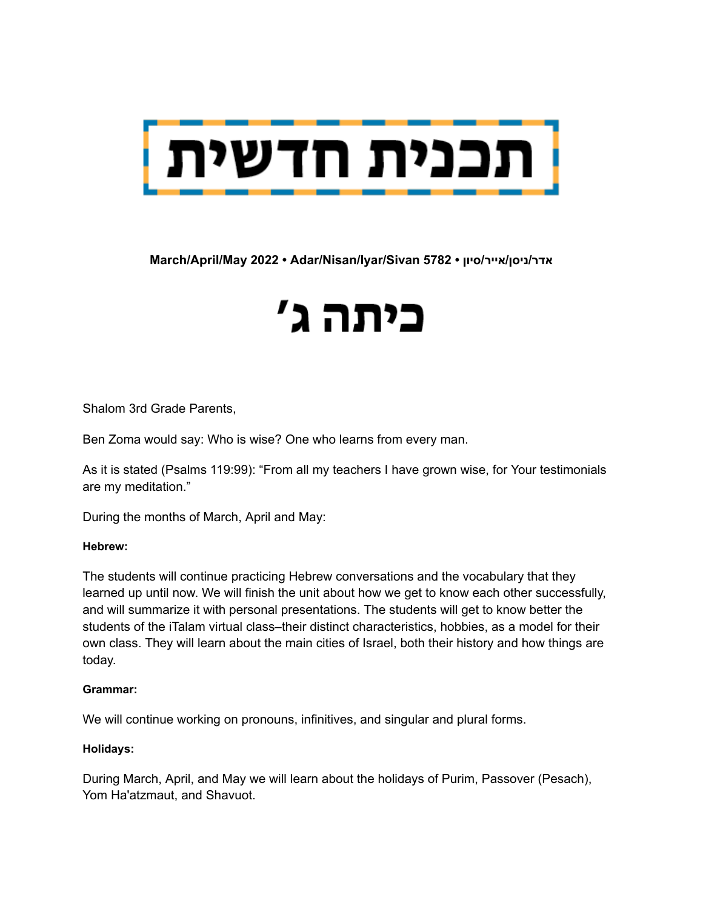

**March/April/May 2022 • Adar/Nisan/Iyar/Sivan 5782 • סיון/אייר/ניסן/אדר**

# כיתה ג'

Shalom 3rd Grade Parents,

Ben Zoma would say: Who is wise? One who learns from every man.

As it is stated (Psalms 119:99): "From all my teachers I have grown wise, for Your testimonials are my meditation."

During the months of March, April and May:

#### **Hebrew:**

The students will continue practicing Hebrew conversations and the vocabulary that they learned up until now. We will finish the unit about how we get to know each other successfully, and will summarize it with personal presentations. The students will get to know better the students of the iTalam virtual class–their distinct characteristics, hobbies, as a model for their own class. They will learn about the main cities of Israel, both their history and how things are today.

#### **Grammar:**

We will continue working on pronouns, infinitives, and singular and plural forms.

#### **Holidays:**

During March, April, and May we will learn about the holidays of Purim, Passover (Pesach), Yom Ha'atzmaut, and Shavuot.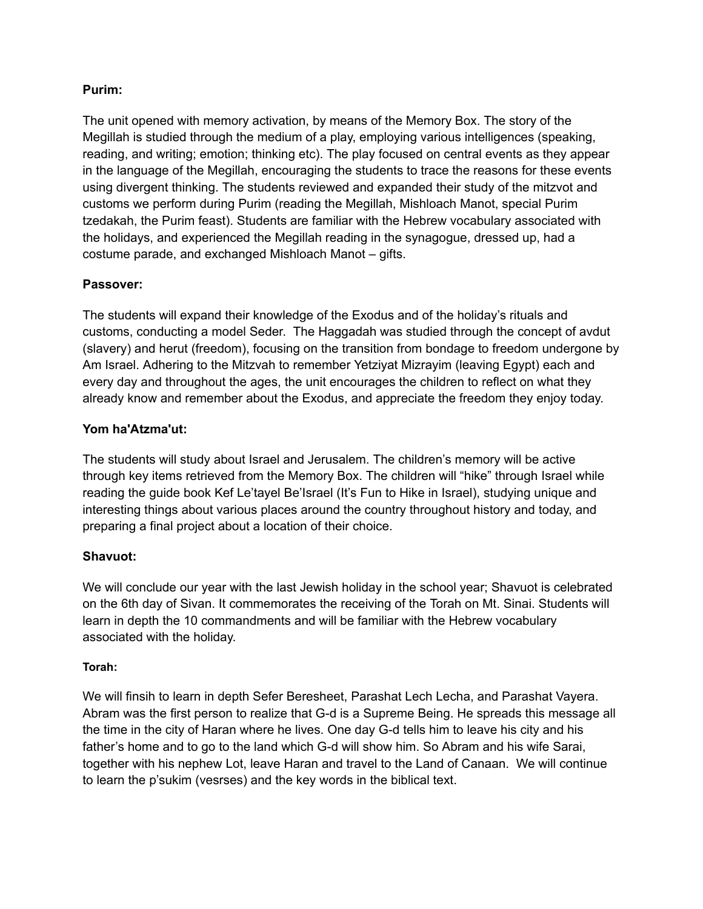# **Purim:**

The unit opened with memory activation, by means of the Memory Box. The story of the Megillah is studied through the medium of a play, employing various intelligences (speaking, reading, and writing; emotion; thinking etc). The play focused on central events as they appear in the language of the Megillah, encouraging the students to trace the reasons for these events using divergent thinking. The students reviewed and expanded their study of the mitzvot and customs we perform during Purim (reading the Megillah, Mishloach Manot, special Purim tzedakah, the Purim feast). Students are familiar with the Hebrew vocabulary associated with the holidays, and experienced the Megillah reading in the synagogue, dressed up, had a costume parade, and exchanged Mishloach Manot – gifts.

# **Passover:**

The students will expand their knowledge of the Exodus and of the holiday's rituals and customs, conducting a model Seder. The Haggadah was studied through the concept of avdut (slavery) and herut (freedom), focusing on the transition from bondage to freedom undergone by Am Israel. Adhering to the Mitzvah to remember Yetziyat Mizrayim (leaving Egypt) each and every day and throughout the ages, the unit encourages the children to reflect on what they already know and remember about the Exodus, and appreciate the freedom they enjoy today.

# **Yom ha'Atzma'ut:**

The students will study about Israel and Jerusalem. The children's memory will be active through key items retrieved from the Memory Box. The children will "hike" through Israel while reading the guide book Kef Le'tayel Be'Israel (It's Fun to Hike in Israel), studying unique and interesting things about various places around the country throughout history and today, and preparing a final project about a location of their choice.

# **Shavuot:**

We will conclude our year with the last Jewish holiday in the school year; Shavuot is celebrated on the 6th day of Sivan. It commemorates the receiving of the Torah on Mt. Sinai. Students will learn in depth the 10 commandments and will be familiar with the Hebrew vocabulary associated with the holiday.

#### **Torah:**

We will finsih to learn in depth Sefer Beresheet, Parashat Lech Lecha, and Parashat Vayera. Abram was the first person to realize that G-d is a Supreme Being. He spreads this message all the time in the city of Haran where he lives. One day G-d tells him to leave his city and his father's home and to go to the land which G-d will show him. So Abram and his wife Sarai, together with his nephew Lot, leave Haran and travel to the Land of Canaan. We will continue to learn the p'sukim (vesrses) and the key words in the biblical text.